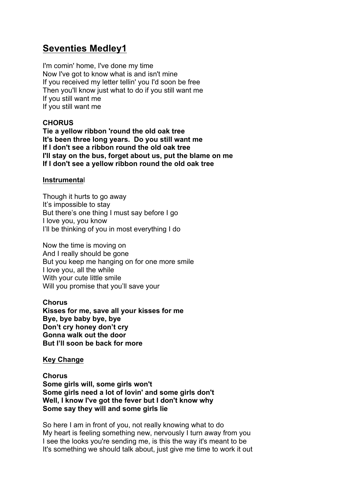# **Seventies Medley1**

I'm comin' home, I've done my time Now I've got to know what is and isn't mine If you received my letter tellin' you I'd soon be free Then you'll know just what to do if you still want me If you still want me If you still want me

## **CHORUS**

**Tie a yellow ribbon 'round the old oak tree It's been three long years. Do you still want me If I don't see a ribbon round the old oak tree I'll stay on the bus, forget about us, put the blame on me If I don't see a yellow ribbon round the old oak tree**

#### **Instrumenta**l

Though it hurts to go away It's impossible to stay But there's one thing I must say before I go I love you, you know I'll be thinking of you in most everything I do

Now the time is moving on And I really should be gone But you keep me hanging on for one more smile I love you, all the while With your cute little smile Will you promise that you'll save your

#### **Chorus**

**Kisses for me, save all your kisses for me Bye, bye baby bye, bye Don't cry honey don't cry Gonna walk out the door But I'll soon be back for more**

## **Key Change**

**Chorus Some girls will, some girls won't Some girls need a lot of lovin' and some girls don't Well, I know I've got the fever but I don't know why Some say they will and some girls lie**

So here I am in front of you, not really knowing what to do My heart is feeling something new, nervously I turn away from you I see the looks you're sending me, is this the way it's meant to be It's something we should talk about, just give me time to work it out